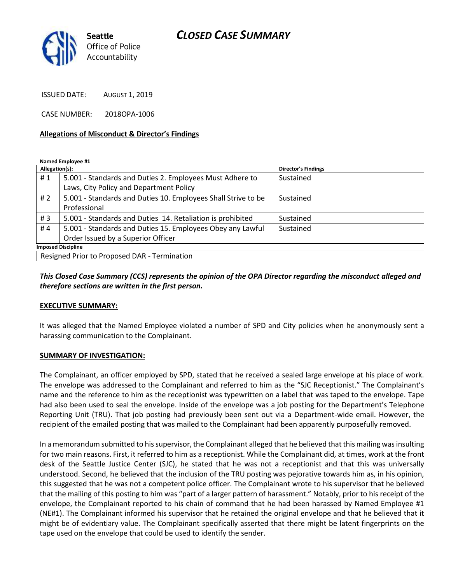# *CLOSED CASE SUMMARY*



ISSUED DATE: AUGUST 1, 2019

CASE NUMBER: 2018OPA-1006

### **Allegations of Misconduct & Director's Findings**

**Named Employee #1**

| Allegation(s):                               |                                                               | Director's Findings |
|----------------------------------------------|---------------------------------------------------------------|---------------------|
| #1                                           | 5.001 - Standards and Duties 2. Employees Must Adhere to      | Sustained           |
|                                              | Laws, City Policy and Department Policy                       |                     |
| #2                                           | 5.001 - Standards and Duties 10. Employees Shall Strive to be | Sustained           |
|                                              | Professional                                                  |                     |
| #3                                           | 5.001 - Standards and Duties 14. Retaliation is prohibited    | Sustained           |
| #4                                           | 5.001 - Standards and Duties 15. Employees Obey any Lawful    | Sustained           |
|                                              | Order Issued by a Superior Officer                            |                     |
| <b>Imposed Discipline</b>                    |                                                               |                     |
| Resigned Prior to Proposed DAR - Termination |                                                               |                     |

*This Closed Case Summary (CCS) represents the opinion of the OPA Director regarding the misconduct alleged and therefore sections are written in the first person.* 

#### **EXECUTIVE SUMMARY:**

It was alleged that the Named Employee violated a number of SPD and City policies when he anonymously sent a harassing communication to the Complainant.

#### **SUMMARY OF INVESTIGATION:**

The Complainant, an officer employed by SPD, stated that he received a sealed large envelope at his place of work. The envelope was addressed to the Complainant and referred to him as the "SJC Receptionist." The Complainant's name and the reference to him as the receptionist was typewritten on a label that was taped to the envelope. Tape had also been used to seal the envelope. Inside of the envelope was a job posting for the Department's Telephone Reporting Unit (TRU). That job posting had previously been sent out via a Department-wide email. However, the recipient of the emailed posting that was mailed to the Complainant had been apparently purposefully removed.

In a memorandum submitted to his supervisor, the Complainant alleged that he believed that this mailing was insulting for two main reasons. First, it referred to him as a receptionist. While the Complainant did, at times, work at the front desk of the Seattle Justice Center (SJC), he stated that he was not a receptionist and that this was universally understood. Second, he believed that the inclusion of the TRU posting was pejorative towards him as, in his opinion, this suggested that he was not a competent police officer. The Complainant wrote to his supervisor that he believed that the mailing of this posting to him was "part of a larger pattern of harassment." Notably, prior to his receipt of the envelope, the Complainant reported to his chain of command that he had been harassed by Named Employee #1 (NE#1). The Complainant informed his supervisor that he retained the original envelope and that he believed that it might be of evidentiary value. The Complainant specifically asserted that there might be latent fingerprints on the tape used on the envelope that could be used to identify the sender.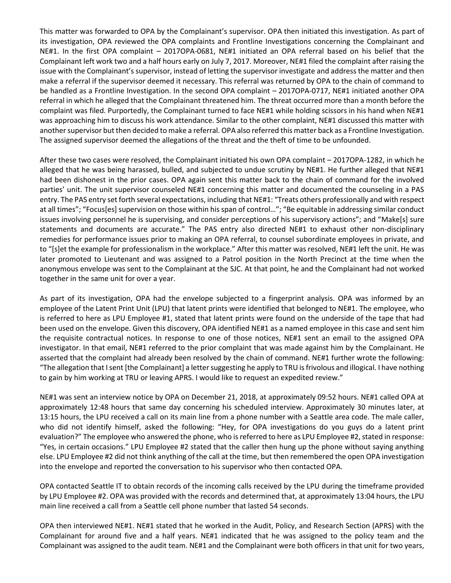This matter was forwarded to OPA by the Complainant's supervisor. OPA then initiated this investigation. As part of its investigation, OPA reviewed the OPA complaints and Frontline Investigations concerning the Complainant and NE#1. In the first OPA complaint – 2017OPA-0681, NE#1 initiated an OPA referral based on his belief that the Complainant left work two and a half hours early on July 7, 2017. Moreover, NE#1 filed the complaint after raising the issue with the Complainant's supervisor, instead of letting the supervisor investigate and address the matter and then make a referral if the supervisor deemed it necessary. This referral was returned by OPA to the chain of command to be handled as a Frontline Investigation. In the second OPA complaint – 2017OPA-0717, NE#1 initiated another OPA referral in which he alleged that the Complainant threatened him. The threat occurred more than a month before the complaint was filed. Purportedly, the Complainant turned to face NE#1 while holding scissors in his hand when NE#1 was approaching him to discuss his work attendance. Similar to the other complaint, NE#1 discussed this matter with another supervisor but then decided to make a referral. OPA also referred this matter back as a Frontline Investigation. The assigned supervisor deemed the allegations of the threat and the theft of time to be unfounded.

After these two cases were resolved, the Complainant initiated his own OPA complaint – 2017OPA-1282, in which he alleged that he was being harassed, bulled, and subjected to undue scrutiny by NE#1. He further alleged that NE#1 had been dishonest in the prior cases. OPA again sent this matter back to the chain of command for the involved parties' unit. The unit supervisor counseled NE#1 concerning this matter and documented the counseling in a PAS entry. The PAS entry set forth several expectations, including that NE#1: "Treats others professionally and with respect at all times"; "Focus[es] supervision on those within his span of control…"; "Be equitable in addressing similar conduct issues involving personnel he is supervising, and consider perceptions of his supervisory actions"; and "Make[s] sure statements and documents are accurate." The PAS entry also directed NE#1 to exhaust other non-disciplinary remedies for performance issues prior to making an OPA referral, to counsel subordinate employees in private, and to "[s]et the example for professionalism in the workplace." After this matter was resolved, NE#1 left the unit. He was later promoted to Lieutenant and was assigned to a Patrol position in the North Precinct at the time when the anonymous envelope was sent to the Complainant at the SJC. At that point, he and the Complainant had not worked together in the same unit for over a year.

As part of its investigation, OPA had the envelope subjected to a fingerprint analysis. OPA was informed by an employee of the Latent Print Unit (LPU) that latent prints were identified that belonged to NE#1. The employee, who is referred to here as LPU Employee #1, stated that latent prints were found on the underside of the tape that had been used on the envelope. Given this discovery, OPA identified NE#1 as a named employee in this case and sent him the requisite contractual notices. In response to one of those notices, NE#1 sent an email to the assigned OPA investigator. In that email, NE#1 referred to the prior complaint that was made against him by the Complainant. He asserted that the complaint had already been resolved by the chain of command. NE#1 further wrote the following: "The allegation that I sent [the Complainant] a letter suggesting he apply to TRU is frivolous and illogical. I have nothing to gain by him working at TRU or leaving APRS. I would like to request an expedited review."

NE#1 was sent an interview notice by OPA on December 21, 2018, at approximately 09:52 hours. NE#1 called OPA at approximately 12:48 hours that same day concerning his scheduled interview. Approximately 30 minutes later, at 13:15 hours, the LPU received a call on its main line from a phone number with a Seattle area code. The male caller, who did not identify himself, asked the following: "Hey, for OPA investigations do you guys do a latent print evaluation?" The employee who answered the phone, who is referred to here as LPU Employee #2, stated in response: "Yes, in certain occasions." LPU Employee #2 stated that the caller then hung up the phone without saying anything else. LPU Employee #2 did not think anything of the call at the time, but then remembered the open OPA investigation into the envelope and reported the conversation to his supervisor who then contacted OPA.

OPA contacted Seattle IT to obtain records of the incoming calls received by the LPU during the timeframe provided by LPU Employee #2. OPA was provided with the records and determined that, at approximately 13:04 hours, the LPU main line received a call from a Seattle cell phone number that lasted 54 seconds.

OPA then interviewed NE#1. NE#1 stated that he worked in the Audit, Policy, and Research Section (APRS) with the Complainant for around five and a half years. NE#1 indicated that he was assigned to the policy team and the Complainant was assigned to the audit team. NE#1 and the Complainant were both officers in that unit for two years,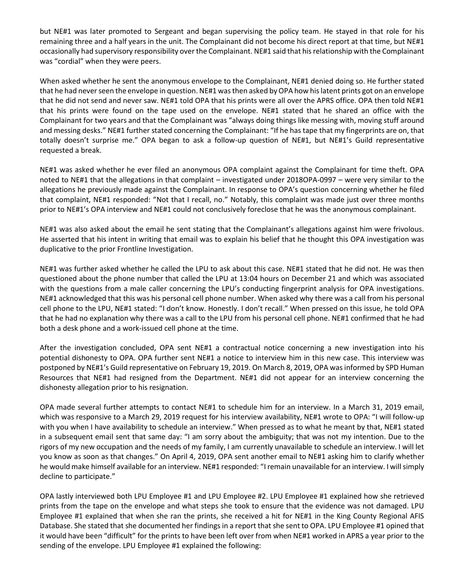but NE#1 was later promoted to Sergeant and began supervising the policy team. He stayed in that role for his remaining three and a half years in the unit. The Complainant did not become his direct report at that time, but NE#1 occasionally had supervisory responsibility over the Complainant. NE#1 said that his relationship with the Complainant was "cordial" when they were peers.

When asked whether he sent the anonymous envelope to the Complainant, NE#1 denied doing so. He further stated that he had never seen the envelope in question. NE#1 was then asked by OPA how his latent prints got on an envelope that he did not send and never saw. NE#1 told OPA that his prints were all over the APRS office. OPA then told NE#1 that his prints were found on the tape used on the envelope. NE#1 stated that he shared an office with the Complainant for two years and that the Complainant was "always doing things like messing with, moving stuff around and messing desks." NE#1 further stated concerning the Complainant: "If he has tape that my fingerprints are on, that totally doesn't surprise me." OPA began to ask a follow-up question of NE#1, but NE#1's Guild representative requested a break.

NE#1 was asked whether he ever filed an anonymous OPA complaint against the Complainant for time theft. OPA noted to NE#1 that the allegations in that complaint – investigated under 2018OPA-0997 – were very similar to the allegations he previously made against the Complainant. In response to OPA's question concerning whether he filed that complaint, NE#1 responded: "Not that I recall, no." Notably, this complaint was made just over three months prior to NE#1's OPA interview and NE#1 could not conclusively foreclose that he was the anonymous complainant.

NE#1 was also asked about the email he sent stating that the Complainant's allegations against him were frivolous. He asserted that his intent in writing that email was to explain his belief that he thought this OPA investigation was duplicative to the prior Frontline Investigation.

NE#1 was further asked whether he called the LPU to ask about this case. NE#1 stated that he did not. He was then questioned about the phone number that called the LPU at 13:04 hours on December 21 and which was associated with the questions from a male caller concerning the LPU's conducting fingerprint analysis for OPA investigations. NE#1 acknowledged that this was his personal cell phone number. When asked why there was a call from his personal cell phone to the LPU, NE#1 stated: "I don't know. Honestly. I don't recall." When pressed on this issue, he told OPA that he had no explanation why there was a call to the LPU from his personal cell phone. NE#1 confirmed that he had both a desk phone and a work-issued cell phone at the time.

After the investigation concluded, OPA sent NE#1 a contractual notice concerning a new investigation into his potential dishonesty to OPA. OPA further sent NE#1 a notice to interview him in this new case. This interview was postponed by NE#1's Guild representative on February 19, 2019. On March 8, 2019, OPA was informed by SPD Human Resources that NE#1 had resigned from the Department. NE#1 did not appear for an interview concerning the dishonesty allegation prior to his resignation.

OPA made several further attempts to contact NE#1 to schedule him for an interview. In a March 31, 2019 email, which was responsive to a March 29, 2019 request for his interview availability, NE#1 wrote to OPA: "I will follow-up with you when I have availability to schedule an interview." When pressed as to what he meant by that, NE#1 stated in a subsequent email sent that same day: "I am sorry about the ambiguity; that was not my intention. Due to the rigors of my new occupation and the needs of my family, I am currently unavailable to schedule an interview. I will let you know as soon as that changes." On April 4, 2019, OPA sent another email to NE#1 asking him to clarify whether he would make himself available for an interview. NE#1 responded: "I remain unavailable for an interview. I will simply decline to participate."

OPA lastly interviewed both LPU Employee #1 and LPU Employee #2. LPU Employee #1 explained how she retrieved prints from the tape on the envelope and what steps she took to ensure that the evidence was not damaged. LPU Employee #1 explained that when she ran the prints, she received a hit for NE#1 in the King County Regional AFIS Database. She stated that she documented her findings in a report that she sent to OPA. LPU Employee #1 opined that it would have been "difficult" for the prints to have been left over from when NE#1 worked in APRS a year prior to the sending of the envelope. LPU Employee #1 explained the following: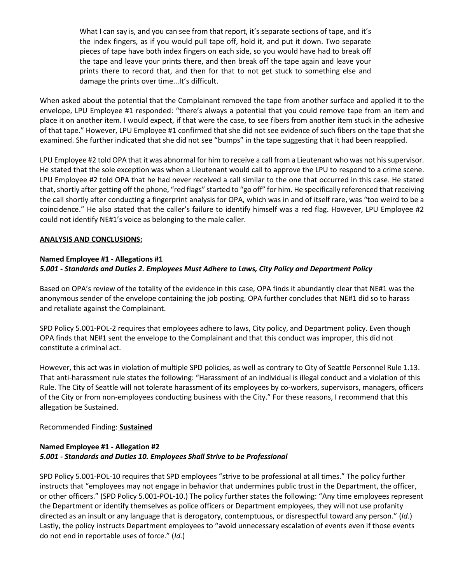What I can say is, and you can see from that report, it's separate sections of tape, and it's the index fingers, as if you would pull tape off, hold it, and put it down. Two separate pieces of tape have both index fingers on each side, so you would have had to break off the tape and leave your prints there, and then break off the tape again and leave your prints there to record that, and then for that to not get stuck to something else and damage the prints over time...It's difficult.

When asked about the potential that the Complainant removed the tape from another surface and applied it to the envelope, LPU Employee #1 responded: "there's always a potential that you could remove tape from an item and place it on another item. I would expect, if that were the case, to see fibers from another item stuck in the adhesive of that tape." However, LPU Employee #1 confirmed that she did not see evidence of such fibers on the tape that she examined. She further indicated that she did not see "bumps" in the tape suggesting that it had been reapplied.

LPU Employee #2 told OPA that it was abnormal for him to receive a call from a Lieutenant who was not his supervisor. He stated that the sole exception was when a Lieutenant would call to approve the LPU to respond to a crime scene. LPU Employee #2 told OPA that he had never received a call similar to the one that occurred in this case. He stated that, shortly after getting off the phone, "red flags" started to "go off" for him. He specifically referenced that receiving the call shortly after conducting a fingerprint analysis for OPA, which was in and of itself rare, was "too weird to be a coincidence." He also stated that the caller's failure to identify himself was a red flag. However, LPU Employee #2 could not identify NE#1's voice as belonging to the male caller.

## **ANALYSIS AND CONCLUSIONS:**

## **Named Employee #1 - Allegations #1** *5.001 - Standards and Duties 2. Employees Must Adhere to Laws, City Policy and Department Policy*

Based on OPA's review of the totality of the evidence in this case, OPA finds it abundantly clear that NE#1 was the anonymous sender of the envelope containing the job posting. OPA further concludes that NE#1 did so to harass and retaliate against the Complainant.

SPD Policy 5.001-POL-2 requires that employees adhere to laws, City policy, and Department policy. Even though OPA finds that NE#1 sent the envelope to the Complainant and that this conduct was improper, this did not constitute a criminal act.

However, this act was in violation of multiple SPD policies, as well as contrary to City of Seattle Personnel Rule 1.13. That anti-harassment rule states the following: "Harassment of an individual is illegal conduct and a violation of this Rule. The City of Seattle will not tolerate harassment of its employees by co-workers, supervisors, managers, officers of the City or from non-employees conducting business with the City." For these reasons, I recommend that this allegation be Sustained.

# Recommended Finding: **Sustained**

# **Named Employee #1 - Allegation #2** *5.001 - Standards and Duties 10. Employees Shall Strive to be Professional*

SPD Policy 5.001-POL-10 requires that SPD employees "strive to be professional at all times." The policy further instructs that "employees may not engage in behavior that undermines public trust in the Department, the officer, or other officers." (SPD Policy 5.001-POL-10.) The policy further states the following: "Any time employees represent the Department or identify themselves as police officers or Department employees, they will not use profanity directed as an insult or any language that is derogatory, contemptuous, or disrespectful toward any person." (*Id*.) Lastly, the policy instructs Department employees to "avoid unnecessary escalation of events even if those events do not end in reportable uses of force." (*Id*.)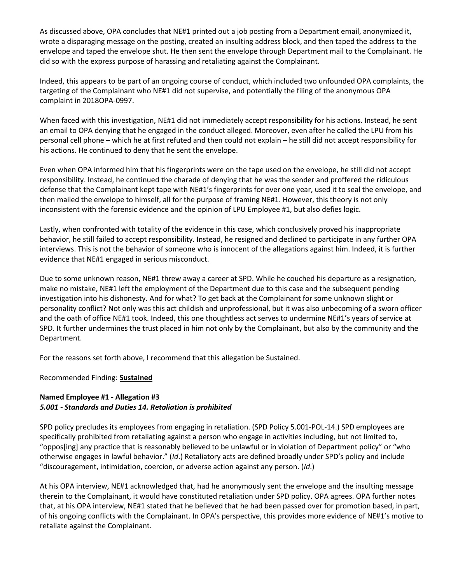As discussed above, OPA concludes that NE#1 printed out a job posting from a Department email, anonymized it, wrote a disparaging message on the posting, created an insulting address block, and then taped the address to the envelope and taped the envelope shut. He then sent the envelope through Department mail to the Complainant. He did so with the express purpose of harassing and retaliating against the Complainant.

Indeed, this appears to be part of an ongoing course of conduct, which included two unfounded OPA complaints, the targeting of the Complainant who NE#1 did not supervise, and potentially the filing of the anonymous OPA complaint in 2018OPA-0997.

When faced with this investigation, NE#1 did not immediately accept responsibility for his actions. Instead, he sent an email to OPA denying that he engaged in the conduct alleged. Moreover, even after he called the LPU from his personal cell phone – which he at first refuted and then could not explain – he still did not accept responsibility for his actions. He continued to deny that he sent the envelope.

Even when OPA informed him that his fingerprints were on the tape used on the envelope, he still did not accept responsibility. Instead, he continued the charade of denying that he was the sender and proffered the ridiculous defense that the Complainant kept tape with NE#1's fingerprints for over one year, used it to seal the envelope, and then mailed the envelope to himself, all for the purpose of framing NE#1. However, this theory is not only inconsistent with the forensic evidence and the opinion of LPU Employee #1, but also defies logic.

Lastly, when confronted with totality of the evidence in this case, which conclusively proved his inappropriate behavior, he still failed to accept responsibility. Instead, he resigned and declined to participate in any further OPA interviews. This is not the behavior of someone who is innocent of the allegations against him. Indeed, it is further evidence that NE#1 engaged in serious misconduct.

Due to some unknown reason, NE#1 threw away a career at SPD. While he couched his departure as a resignation, make no mistake, NE#1 left the employment of the Department due to this case and the subsequent pending investigation into his dishonesty. And for what? To get back at the Complainant for some unknown slight or personality conflict? Not only was this act childish and unprofessional, but it was also unbecoming of a sworn officer and the oath of office NE#1 took. Indeed, this one thoughtless act serves to undermine NE#1's years of service at SPD. It further undermines the trust placed in him not only by the Complainant, but also by the community and the Department.

For the reasons set forth above, I recommend that this allegation be Sustained.

Recommended Finding: **Sustained**

# **Named Employee #1 - Allegation #3** *5.001 - Standards and Duties 14. Retaliation is prohibited*

SPD policy precludes its employees from engaging in retaliation. (SPD Policy 5.001-POL-14.) SPD employees are specifically prohibited from retaliating against a person who engage in activities including, but not limited to, "oppos[ing] any practice that is reasonably believed to be unlawful or in violation of Department policy" or "who otherwise engages in lawful behavior." (*Id*.) Retaliatory acts are defined broadly under SPD's policy and include "discouragement, intimidation, coercion, or adverse action against any person. (*Id*.)

At his OPA interview, NE#1 acknowledged that, had he anonymously sent the envelope and the insulting message therein to the Complainant, it would have constituted retaliation under SPD policy. OPA agrees. OPA further notes that, at his OPA interview, NE#1 stated that he believed that he had been passed over for promotion based, in part, of his ongoing conflicts with the Complainant. In OPA's perspective, this provides more evidence of NE#1's motive to retaliate against the Complainant.